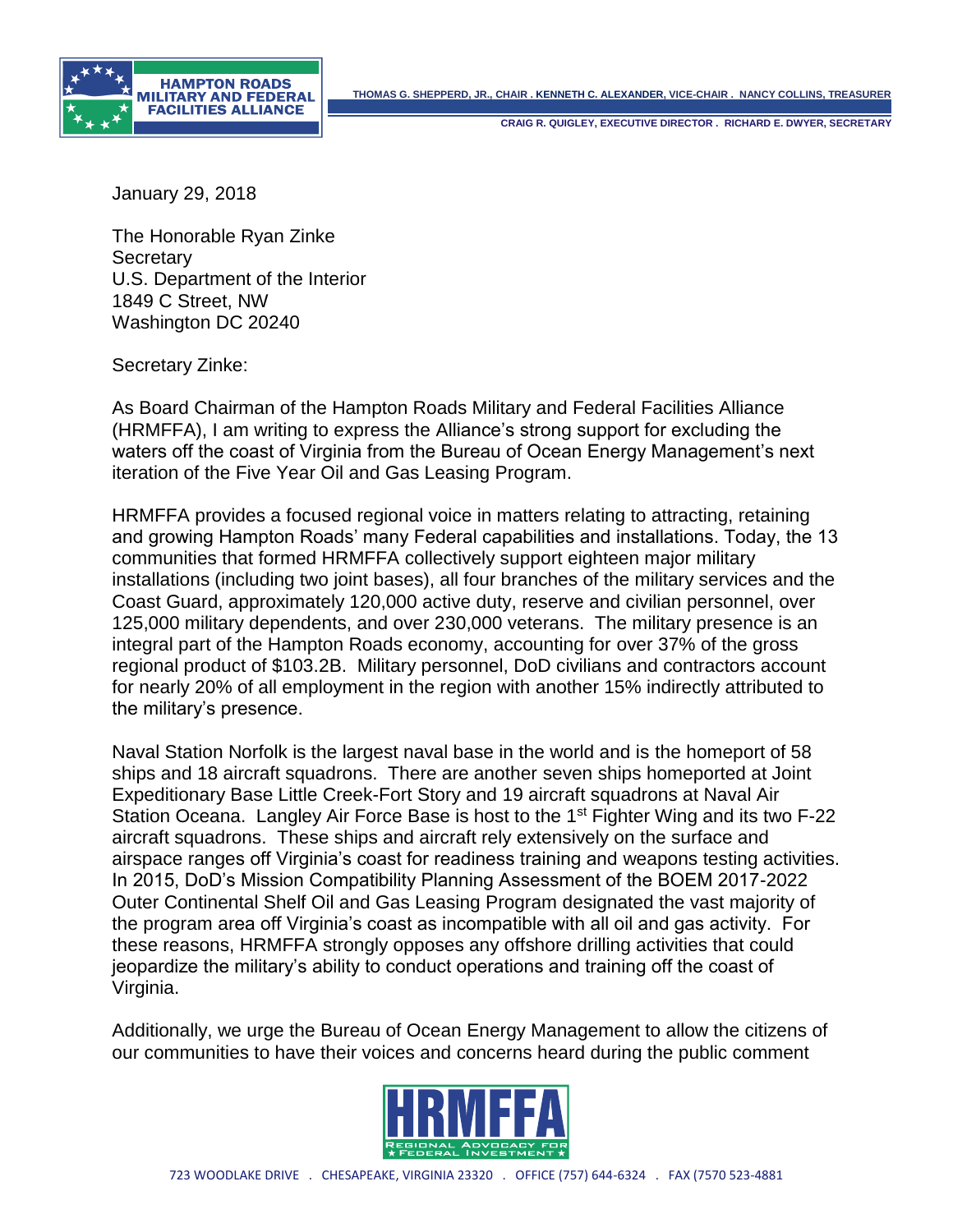



**CRAIG R. QUIGLEY, EXECUTIVE DIRECTOR . RICHARD E. DWYER, SECRETARY**

January 29, 2018

The Honorable Ryan Zinke **Secretary** U.S. Department of the Interior 1849 C Street, NW Washington DC 20240

Secretary Zinke:

As Board Chairman of the Hampton Roads Military and Federal Facilities Alliance (HRMFFA), I am writing to express the Alliance's strong support for excluding the waters off the coast of Virginia from the Bureau of Ocean Energy Management's next iteration of the Five Year Oil and Gas Leasing Program.

HRMFFA provides a focused regional voice in matters relating to attracting, retaining and growing Hampton Roads' many Federal capabilities and installations. Today, the 13 communities that formed HRMFFA collectively support eighteen major military installations (including two joint bases), all four branches of the military services and the Coast Guard, approximately 120,000 active duty, reserve and civilian personnel, over 125,000 military dependents, and over 230,000 veterans. The military presence is an integral part of the Hampton Roads economy, accounting for over 37% of the gross regional product of \$103.2B. Military personnel, DoD civilians and contractors account for nearly 20% of all employment in the region with another 15% indirectly attributed to the military's presence.

Naval Station Norfolk is the largest naval base in the world and is the homeport of 58 ships and 18 aircraft squadrons. There are another seven ships homeported at Joint Expeditionary Base Little Creek-Fort Story and 19 aircraft squadrons at Naval Air Station Oceana. Langley Air Force Base is host to the 1st Fighter Wing and its two F-22 aircraft squadrons. These ships and aircraft rely extensively on the surface and airspace ranges off Virginia's coast for readiness training and weapons testing activities. In 2015, DoD's Mission Compatibility Planning Assessment of the BOEM 2017-2022 Outer Continental Shelf Oil and Gas Leasing Program designated the vast majority of the program area off Virginia's coast as incompatible with all oil and gas activity. For these reasons, HRMFFA strongly opposes any offshore drilling activities that could jeopardize the military's ability to conduct operations and training off the coast of Virginia.

Additionally, we urge the Bureau of Ocean Energy Management to allow the citizens of our communities to have their voices and concerns heard during the public comment